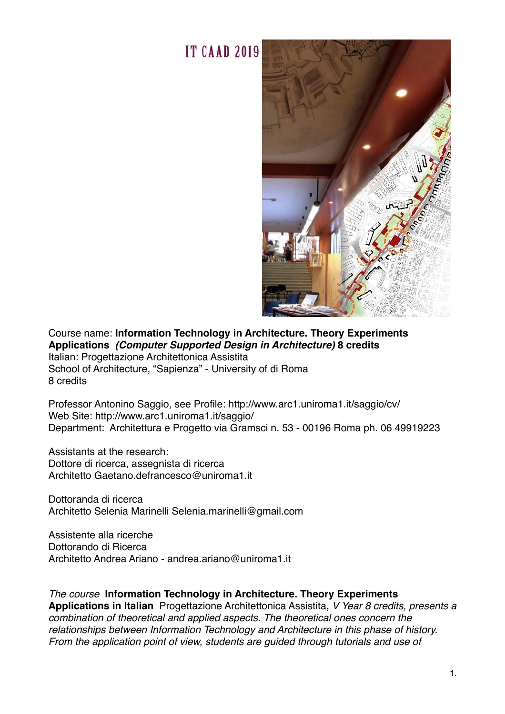

# Course name: **Information Technology in Architecture. Theory Experiments Applications** *(Computer Supported Design in Architecture)* **8 credits**

Italian: Progettazione Architettonica Assistita School of Architecture, "Sapienza" - University of di Roma 8 credits

Professor Antonino Saggio, see Profile: http://www.arc1.uniroma1.it/saggio/cv/ Web Site: http://www.arc1.uniroma1.it/saggio/ Department: Architettura e Progetto via Gramsci n. 53 - 00196 Roma ph. 06 49919223

Assistants at the research: Dottore di ricerca, assegnista di ricerca Architetto Gaetano.defrancesco@uniroma1.it

Dottoranda di ricerca Architetto Selenia Marinelli Selenia.marinelli@gmail.com

Assistente alla ricerche Dottorando di Ricerca Architetto Andrea Ariano - andrea.ariano@uniroma1.it

#### *The course* **Information Technology in Architecture. Theory Experiments**

**Applications in Italian** Progettazione Architettonica Assistita**,** *V Year 8 credits, presents a combination of theoretical and applied aspects. The theoretical ones concern the relationships between Information Technology and Architecture in this phase of history. From the application point of view, students are guided through tutorials and use of*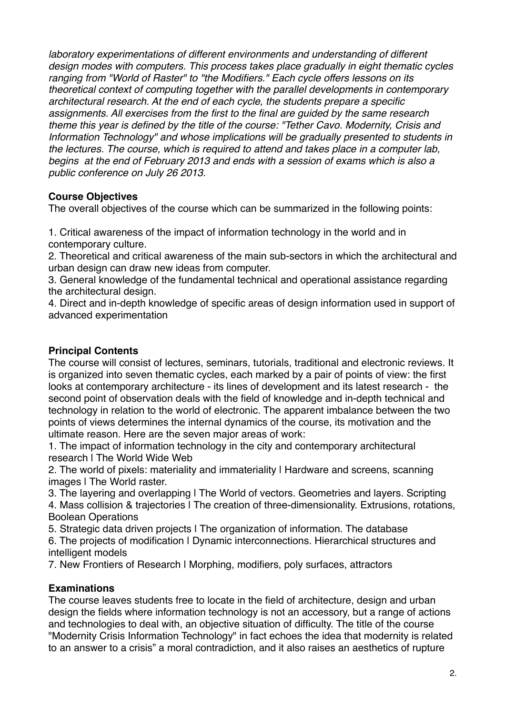*laboratory experimentations of different environments and understanding of different design modes with computers. This process takes place gradually in eight thematic cycles ranging from "World of Raster" to "the Modifiers." Each cycle offers lessons on its theoretical context of computing together with the parallel developments in contemporary architectural research. At the end of each cycle, the students prepare a specific assignments. All exercises from the first to the final are guided by the same research theme this year is defined by the title of the course: "Tether Cavo. Modernity, Crisis and Information Technology" and whose implications will be gradually presented to students in the lectures. The course, which is required to attend and takes place in a computer lab, begins at the end of February 2013 and ends with a session of exams which is also a public conference on July 26 2013.*

### **Course Objectives**

The overall objectives of the course which can be summarized in the following points:

1. Critical awareness of the impact of information technology in the world and in contemporary culture.

2. Theoretical and critical awareness of the main sub-sectors in which the architectural and urban design can draw new ideas from computer.

3. General knowledge of the fundamental technical and operational assistance regarding the architectural design.

4. Direct and in-depth knowledge of specific areas of design information used in support of advanced experimentation

### **Principal Contents**

The course will consist of lectures, seminars, tutorials, traditional and electronic reviews. It is organized into seven thematic cycles, each marked by a pair of points of view: the first looks at contemporary architecture - its lines of development and its latest research - the second point of observation deals with the field of knowledge and in-depth technical and technology in relation to the world of electronic. The apparent imbalance between the two points of views determines the internal dynamics of the course, its motivation and the ultimate reason. Here are the seven major areas of work:

1. The impact of information technology in the city and contemporary architectural research | The World Wide Web

2. The world of pixels: materiality and immateriality | Hardware and screens, scanning images | The World raster.

3. The layering and overlapping | The World of vectors. Geometries and layers. Scripting

4. Mass collision & trajectories I The creation of three-dimensionality. Extrusions, rotations, Boolean Operations

5. Strategic data driven projects | The organization of information. The database

6. The projects of modification | Dynamic interconnections. Hierarchical structures and intelligent models

7. New Frontiers of Research | Morphing, modifiers, poly surfaces, attractors

## **Examinations**

The course leaves students free to locate in the field of architecture, design and urban design the fields where information technology is not an accessory, but a range of actions and technologies to deal with, an objective situation of difficulty. The title of the course "Modernity Crisis Information Technology" in fact echoes the idea that modernity is related to an answer to a crisis" a moral contradiction, and it also raises an aesthetics of rupture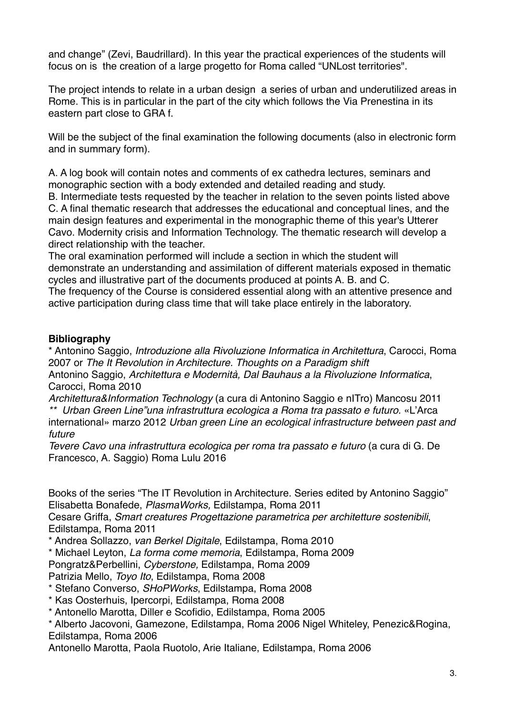and change" (Zevi, Baudrillard). In this year the practical experiences of the students will focus on is the creation of a large progetto for Roma called "UNLost territories".

The project intends to relate in a urban design a series of urban and underutilized areas in Rome. This is in particular in the part of the city which follows the Via Prenestina in its eastern part close to GRA f.

Will be the subject of the final examination the following documents (also in electronic form and in summary form).

A. A log book will contain notes and comments of ex cathedra lectures, seminars and monographic section with a body extended and detailed reading and study.

B. Intermediate tests requested by the teacher in relation to the seven points listed above C. A final thematic research that addresses the educational and conceptual lines, and the main design features and experimental in the monographic theme of this year's Utterer Cavo. Modernity crisis and Information Technology. The thematic research will develop a direct relationship with the teacher.

The oral examination performed will include a section in which the student will demonstrate an understanding and assimilation of different materials exposed in thematic cycles and illustrative part of the documents produced at points A. B. and C.

The frequency of the Course is considered essential along with an attentive presence and active participation during class time that will take place entirely in the laboratory.

### **Bibliography**

\* Antonino Saggio, *Introduzione alla Rivoluzione Informatica in Architettura*, Carocci, Roma 2007 or *The It Revolution in Architecture. Thoughts on a Paradigm shift*

Antonino Saggio, *Architettura e Modernità, Dal Bauhaus a la Rivoluzione Informatica*, Carocci, Roma 2010

*Architettura&Information Technology* (a cura di Antonino Saggio e nITro) Mancosu 2011 *\*\* Urban Green Line"una infrastruttura ecologica a Roma tra passato e futuro.* «L'Arca international» marzo 2012 *Urban green Line an ecological infrastructure between past and future*

*Tevere Cavo una infrastruttura ecologica per roma tra passato e futuro* (a cura di G. De Francesco, A. Saggio) Roma Lulu 2016

Books of the series "The IT Revolution in Architecture. Series edited by Antonino Saggio" Elisabetta Bonafede, *PlasmaWorks,* Edilstampa, Roma 2011

Cesare Griffa, *Smart creatures Progettazione parametrica per architetture sostenibili*, Edilstampa, Roma 2011

\* Andrea Sollazzo, *van Berkel Digitale*, Edilstampa, Roma 2010

\* Michael Leyton, *La forma come memoria*, Edilstampa, Roma 2009

Pongratz&Perbellini, *Cyberstone,* Edilstampa, Roma 2009

Patrizia Mello, *Toyo Ito*, Edilstampa, Roma 2008

\* Stefano Converso, *SHoPWorks*, Edilstampa, Roma 2008

\* Kas Oosterhuis, Ipercorpi, Edilstampa, Roma 2008

\* Antonello Marotta, Diller e Scofidio, Edilstampa, Roma 2005

\* Alberto Jacovoni, Gamezone, Edilstampa, Roma 2006 Nigel Whiteley, Penezic&Rogina, Edilstampa, Roma 2006

Antonello Marotta, Paola Ruotolo, Arie Italiane, Edilstampa, Roma 2006